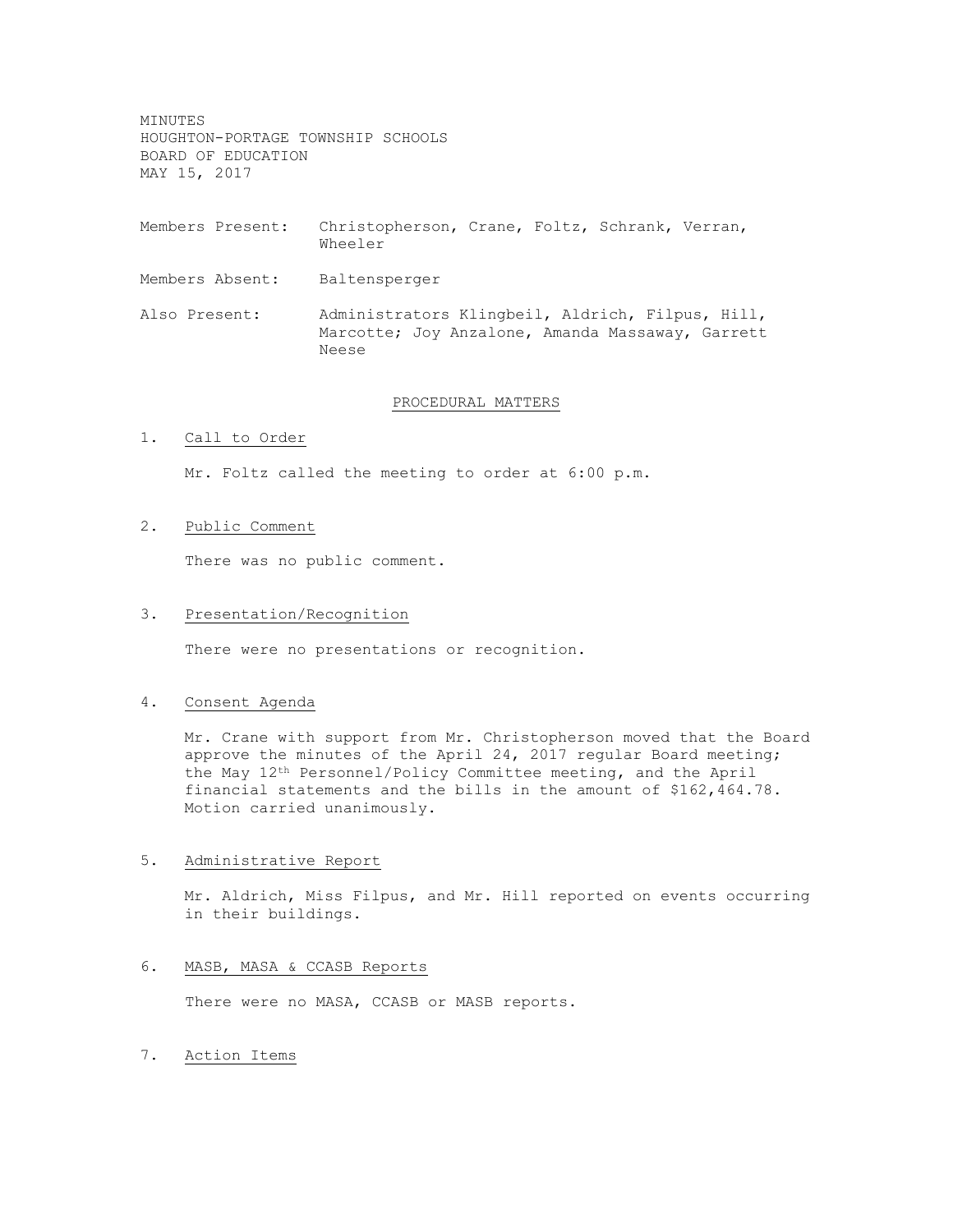MINUTES HOUGHTON-PORTAGE TOWNSHIP SCHOOLS BOARD OF EDUCATION MAY 15, 2017

- Members Present: Christopherson, Crane, Foltz, Schrank, Verran, Wheeler
- Members Absent: Baltensperger
- Also Present: Administrators Klingbeil, Aldrich, Filpus, Hill, Marcotte; Joy Anzalone, Amanda Massaway, Garrett Neese

### PROCEDURAL MATTERS

# 1. Call to Order

Mr. Foltz called the meeting to order at 6:00 p.m.

2. Public Comment

There was no public comment.

## 3. Presentation/Recognition

There were no presentations or recognition.

## 4. Consent Agenda

Mr. Crane with support from Mr. Christopherson moved that the Board approve the minutes of the April 24, 2017 regular Board meeting; the May 12th Personnel/Policy Committee meeting, and the April financial statements and the bills in the amount of \$162,464.78. Motion carried unanimously.

## 5. Administrative Report

Mr. Aldrich, Miss Filpus, and Mr. Hill reported on events occurring in their buildings.

## 6. MASB, MASA & CCASB Reports

There were no MASA, CCASB or MASB reports.

#### 7. Action Items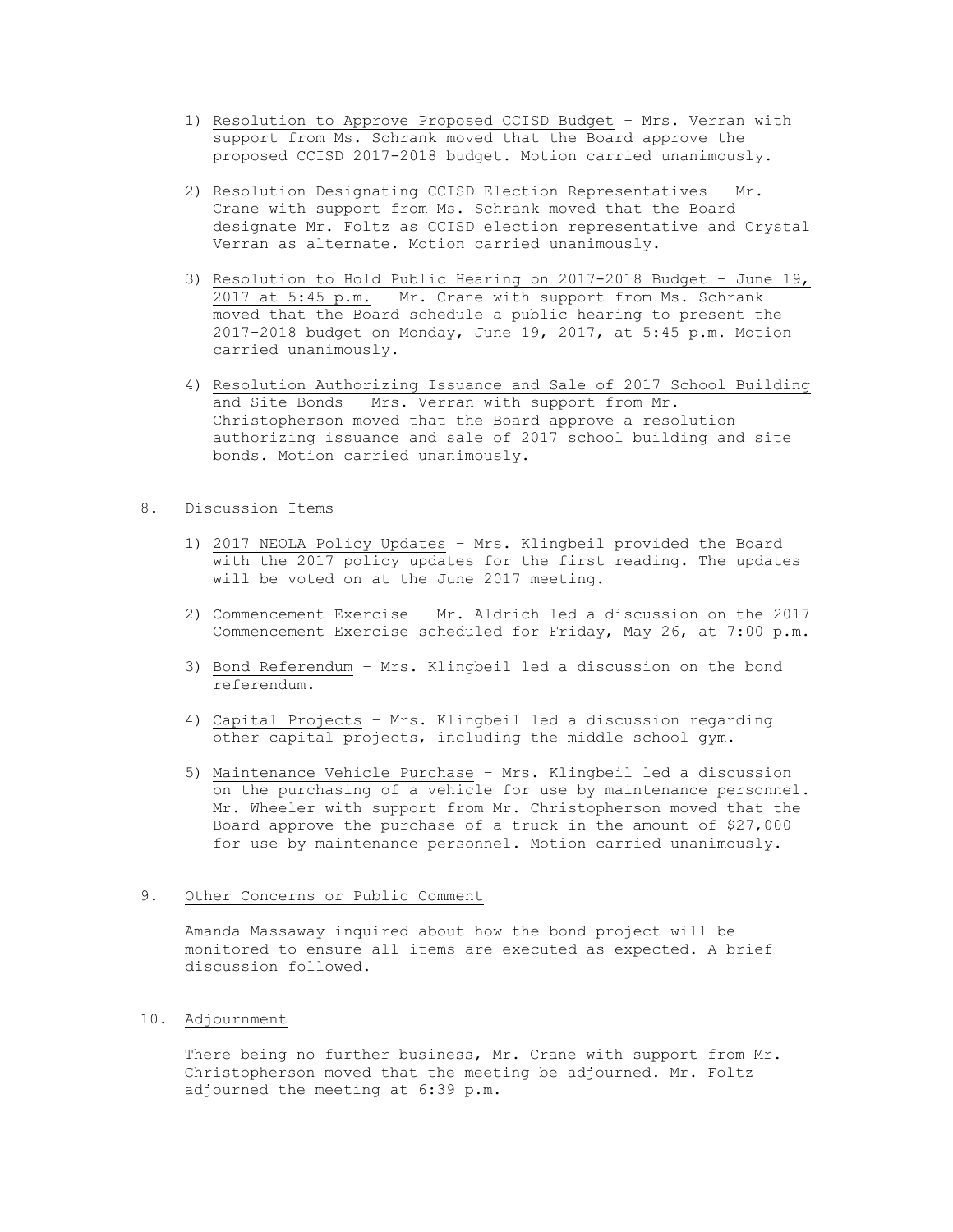- 1) Resolution to Approve Proposed CCISD Budget Mrs. Verran with support from Ms. Schrank moved that the Board approve the proposed CCISD 2017-2018 budget. Motion carried unanimously.
- 2) Resolution Designating CCISD Election Representatives Mr. Crane with support from Ms. Schrank moved that the Board designate Mr. Foltz as CCISD election representative and Crystal Verran as alternate. Motion carried unanimously.
- 3) Resolution to Hold Public Hearing on 2017-2018 Budget June 19, 2017 at 5:45 p.m. – Mr. Crane with support from Ms. Schrank moved that the Board schedule a public hearing to present the 2017-2018 budget on Monday, June 19, 2017, at 5:45 p.m. Motion carried unanimously.
- 4) Resolution Authorizing Issuance and Sale of 2017 School Building and Site Bonds – Mrs. Verran with support from Mr. Christopherson moved that the Board approve a resolution authorizing issuance and sale of 2017 school building and site bonds. Motion carried unanimously.

### 8. Discussion Items

- 1) 2017 NEOLA Policy Updates Mrs. Klingbeil provided the Board with the 2017 policy updates for the first reading. The updates will be voted on at the June 2017 meeting.
- 2) Commencement Exercise Mr. Aldrich led a discussion on the 2017 Commencement Exercise scheduled for Friday, May 26, at 7:00 p.m.
- 3) Bond Referendum Mrs. Klingbeil led a discussion on the bond referendum.
- 4) Capital Projects Mrs. Klingbeil led a discussion regarding other capital projects, including the middle school gym.
- 5) Maintenance Vehicle Purchase Mrs. Klingbeil led a discussion on the purchasing of a vehicle for use by maintenance personnel. Mr. Wheeler with support from Mr. Christopherson moved that the Board approve the purchase of a truck in the amount of \$27,000 for use by maintenance personnel. Motion carried unanimously.

## 9. Other Concerns or Public Comment

Amanda Massaway inquired about how the bond project will be monitored to ensure all items are executed as expected. A brief discussion followed.

## 10. Adjournment

There being no further business, Mr. Crane with support from Mr. Christopherson moved that the meeting be adjourned. Mr. Foltz adjourned the meeting at 6:39 p.m.